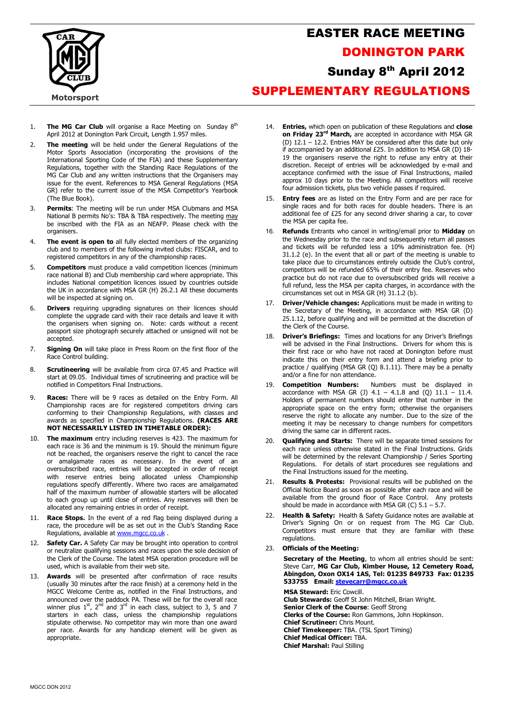

## EASTER RACE MEETING DONINGTON PARK Sunday 8<sup>th</sup> April 2012 SUPPLEMENTARY REGULATIONS

- 1. The MG Car Club will organise a Race Meeting on Sunday  $8<sup>th</sup>$ April 2012 at Donington Park Circuit, Length 1.957 miles.
- 2. The meeting will be held under the General Regulations of the Motor Sports Association (incorporating the provisions of the International Sporting Code of the FIA) and these Supplementary Regulations, together with the Standing Race Regulations of the MG Car Club and any written instructions that the Organisers may issue for the event. References to MSA General Regulations (MSA GR) refer to the current issue of the MSA Competitor's Yearbook (The Blue Book).
- 3. Permits: The meeting will be run under MSA Clubmans and MSA National B permits No's: TBA & TBA respectively. The meeting may be inscribed with the FIA as an NEAFP. Please check with the organisers
- The event is open to all fully elected members of the organizing club and to members of the following invited clubs: FISCAR, and to registered competitors in any of the championship races.
- 5. **Competitors** must produce a valid competition licences (minimum race national B) and Club membership card where appropriate. This includes National competition licences issued by countries outside the UK in accordance with MSA GR (H) 26.2.1 All these documents will be inspected at signing on.
- 6. **Drivers** requiring upgrading signatures on their licences should complete the upgrade card with their race details and leave it with the organisers when signing on. Note: cards without a recent passport size photograph securely attached or unsigned will not be accepted.
- 7. **Signing On** will take place in Press Room on the first floor of the Race Control building.
- 8. **Scrutineering** will be available from circa 07.45 and Practice will start at 09.05. Individual times of scrutineering and practice will be notified in Competitors Final Instructions.
- 9. Races: There will be 9 races as detailed on the Entry Form. All Championship races are for registered competitors driving cars conforming to their Championship Regulations, with classes and awards as specified in Championship Regulations. (RACES ARE NOT NECESSARILY LISTED IN TIMETABLE ORDER):
- 10. The maximum entry including reserves is 423. The maximum for each race is 36 and the minimum is 19. Should the minimum figure not be reached, the organisers reserve the right to cancel the race or amalgamate races as necessary. In the event of an oversubscribed race, entries will be accepted in order of receipt with reserve entries being allocated unless Championship regulations specify differently. Where two races are amalgamated half of the maximum number of allowable starters will be allocated to each group up until close of entries. Any reserves will then be allocated any remaining entries in order of receipt.
- 11. Race Stops. In the event of a red flag being displayed during a race, the procedure will be as set out in the Club's Standing Race Regulations, available at www.mgcc.co.uk.
- 12. **Safety Car.** A Safety Car may be brought into operation to control or neutralize qualifying sessions and races upon the sole decision of the Clerk of the Course. The latest MSA operation procedure will be used, which is available from their web site.
- 13. **Awards** will be presented after confirmation of race results (usually 30 minutes after the race finish) at a ceremony held in the MGCC Welcome Centre as, notified in the Final Instructions, and announced over the paddock PA. These will be for the overall race<br>winner plus 1<sup>st</sup>, 2<sup>nd</sup> and 3<sup>rd</sup> in each class, subject to 3, 5 and 7 starters in each class, unless the championship regulations stipulate otherwise. No competitor may win more than one award per race. Awards for any handicap element will be given as appropriate.
- 14. **Entries,** which open on publication of these Regulations and **close** on Friday 23<sup>rd</sup> March, are accepted in accordance with MSA GR (D) 12.1 – 12.2. Entries MAY be considered after this date but only if accompanied by an additional £25. In addition to MSA GR (D) 18- 19 the organisers reserve the right to refuse any entry at their discretion. Receipt of entries will be acknowledged by e-mail and acceptance confirmed with the issue of Final Instructions, mailed approx 10 days prior to the Meeting. All competitors will receive four admission tickets, plus two vehicle passes if required.
- 15. **Entry fees** are as listed on the Entry Form and are per race for single races and for both races for double headers. There is an additional fee of £25 for any second driver sharing a car, to cover the MSA per capita fee.
- 16. Refunds Entrants who cancel in writing/email prior to Midday on the Wednesday prior to the race and subsequently return all passes and tickets will be refunded less a 10% administration fee. (H) 31.1.2 (e). In the event that all or part of the meeting is unable to take place due to circumstances entirely outside the Club's control, competitors will be refunded 65% of their entry fee. Reserves who practice but do not race due to oversubscribed grids will receive a full refund, less the MSA per capita charges, in accordance with the circumstances set out in MSA GR (H) 31.1.2 (b).
- 17. Driver/Vehicle changes: Applications must be made in writing to the Secretary of the Meeting, in accordance with MSA GR (D) 25.1.12, before qualifying and will be permitted at the discretion of the Clerk of the Course.
- 18. Driver's Briefings: Times and locations for any Driver's Briefings will be advised in the Final Instructions. Drivers for whom this is their first race or who have not raced at Donington before must indicate this on their entry form and attend a briefing prior to practice / qualifying (MSA GR (Q) 8.1.11). There may be a penalty and/or a fine for non attendance.
- **Competition Numbers:** Numbers must be displayed in accordance with MSA GR (J)  $4.1 - 4.1.8$  and (Q)  $11.1 - 11.4$ . Holders of permanent numbers should enter that number in the appropriate space on the entry form; otherwise the organisers reserve the right to allocate any number. Due to the size of the meeting it may be necessary to change numbers for competitors driving the same car in different races.
- 20. **Qualifying and Starts:** There will be separate timed sessions for each race unless otherwise stated in the Final Instructions. Grids will be determined by the relevant Championship / Series Sporting Regulations. For details of start procedures see regulations and the Final Instructions issued for the meeting.
- 21. Results & Protests: Provisional results will be published on the Official Notice Board as soon as possible after each race and will be available from the ground floor of Race Control. Any protests should be made in accordance with MSA GR (C)  $5.1 - 5.7$ .
- 22. Health & Safety: Health & Safety Guidance notes are available at Driver's Signing On or on request from The MG Car Club. Competitors must ensure that they are familiar with these regulations.
- 23. Officials of the Meeting:

Secretary of the Meeting, to whom all entries should be sent: Steve Carr, MG Car Club, Kimber House, 12 Cemetery Road, Abingdon, Oxon OX14 1AS, Tel: 01235 849733 Fax: 01235 533755 Email: stevecarr@mgcc.co.uk

MSA Steward: Eric Cowcill. Club Stewards: Geoff St John Mitchell, Brian Wright. Senior Clerk of the Course: Geoff Strong Clerks of the Course: Ron Gammons, John Hopkinson. Chief Scrutineer: Chris Mount. Chief Timekeeper: TBA. (TSL Sport Timing) Chief Medical Officer: TBA. Chief Marshal: Paul Stilling